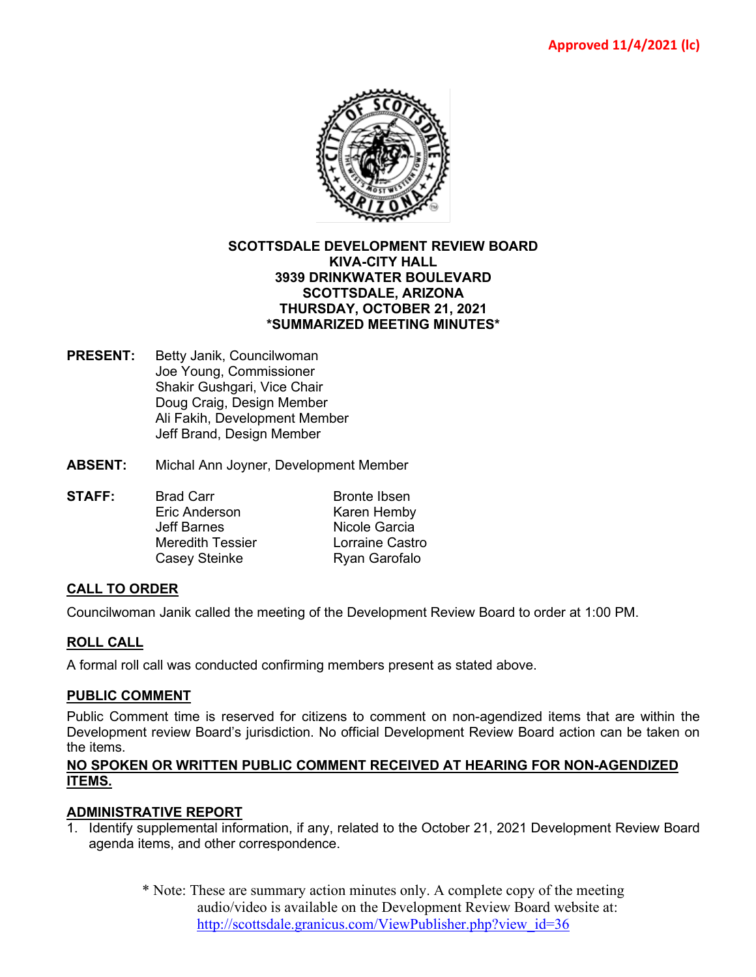

### **SCOTTSDALE DEVELOPMENT REVIEW BOARD KIVA-CITY HALL 3939 DRINKWATER BOULEVARD SCOTTSDALE, ARIZONA THURSDAY, OCTOBER 21, 2021 \*SUMMARIZED MEETING MINUTES\***

- **PRESENT:** Betty Janik, Councilwoman Joe Young, Commissioner Shakir Gushgari, Vice Chair Doug Craig, Design Member Ali Fakih, Development Member Jeff Brand, Design Member
- **ABSENT:** Michal Ann Joyner, Development Member
- **STAFF:** Brad Carr Bronte Ibsen<br>Fric Anderson Branch Bronte Ibsen Karen Hemby Jeff Barnes Nicole Garcia Meredith Tessier Lorraine Castro Casey Steinke Ryan Garofalo

# **CALL TO ORDER**

Councilwoman Janik called the meeting of the Development Review Board to order at 1:00 PM.

# **ROLL CALL**

A formal roll call was conducted confirming members present as stated above.

#### **PUBLIC COMMENT**

Public Comment time is reserved for citizens to comment on non-agendized items that are within the Development review Board's jurisdiction. No official Development Review Board action can be taken on the items.

### **NO SPOKEN OR WRITTEN PUBLIC COMMENT RECEIVED AT HEARING FOR NON-AGENDIZED ITEMS.**

#### **ADMINISTRATIVE REPORT**

- 1. Identify supplemental information, if any, related to the October 21, 2021 Development Review Board agenda items, and other correspondence.
	- \* Note: These are summary action minutes only. A complete copy of the meeting audio/video is available on the Development Review Board website at: [http://scottsdale.granicus.com/ViewPublisher.php?view\\_id=36](http://scottsdale.granicus.com/ViewPublisher.php?view_id=36)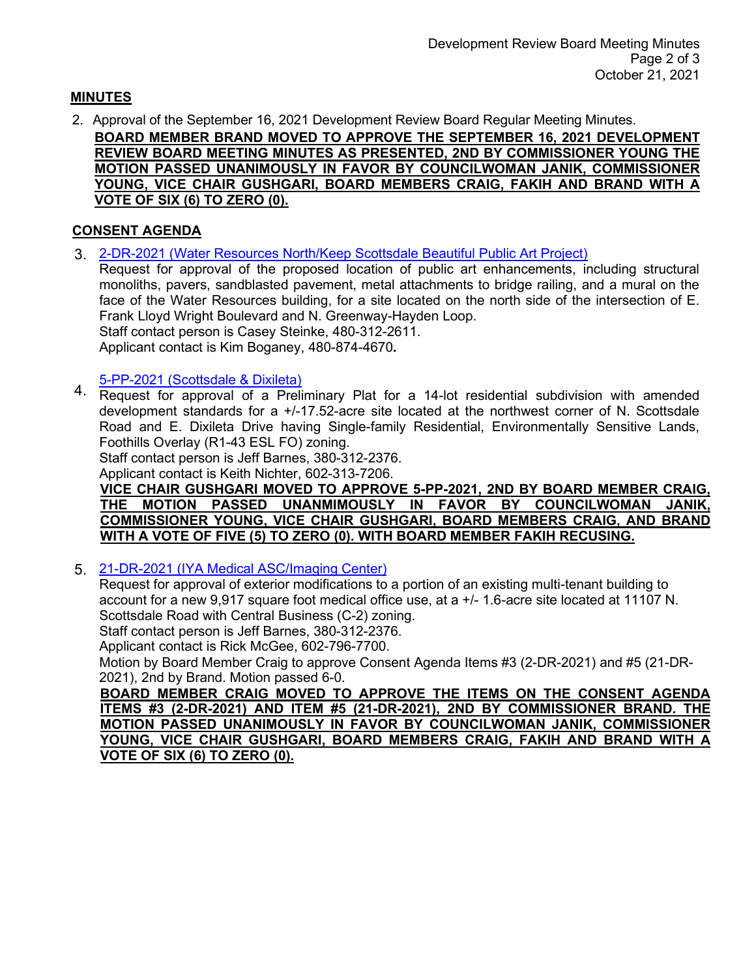# **MINUTES**

2. Approval of the September 16, 2021 Development Review Board Regular Meeting Minutes.

**BOARD MEMBER BRAND MOVED TO APPROVE THE SEPTEMBER 16, 2021 DEVELOPMENT REVIEW BOARD MEETING MINUTES AS PRESENTED, 2ND BY COMMISSIONER YOUNG THE MOTION PASSED UNANIMOUSLY IN FAVOR BY COUNCILWOMAN JANIK, COMMISSIONER YOUNG, VICE CHAIR GUSHGARI, BOARD MEMBERS CRAIG, FAKIH AND BRAND WITH A VOTE OF SIX (6) TO ZERO (0).**

# **CONSENT AGENDA**

3. [2-DR-2021 \(Water Resources North/Keep Scottsdale Beautiful Public Art Project\)](https://eservices.scottsdaleaz.gov/planning/projectsummary/dr_reports/DR_2_DR_2021.pdf)

Request for approval of the proposed location of public art enhancements, including structural monoliths, pavers, sandblasted pavement, metal attachments to bridge railing, and a mural on the face of the Water Resources building, for a site located on the north side of the intersection of E. Frank Lloyd Wright Boulevard and N. Greenway-Hayden Loop. Staff contact person is Casey Steinke, 480-312-2611.

Applicant contact is Kim Boganey, 480-874-4670**.**

# [5-PP-2021 \(Scottsdale & Dixileta\)](https://eservices.scottsdaleaz.gov/planning/projectsummary/dr_reports/DR_5_PP_2021.pdf)

4. Request for approval of a Preliminary Plat for a 14-lot residential subdivision with amended development standards for a +/-17.52-acre site located at the northwest corner of N. Scottsdale Road and E. Dixileta Drive having Single-family Residential, Environmentally Sensitive Lands, Foothills Overlay (R1-43 ESL FO) zoning.

Staff contact person is Jeff Barnes, 380-312-2376.

Applicant contact is Keith Nichter, 602-313-7206.

### **VICE CHAIR GUSHGARI MOVED TO APPROVE 5-PP-2021, 2ND BY BOARD MEMBER CRAIG, THE MOTION PASSED UNANMIMOUSLY IN FAVOR BY COUNCILWOMAN JANIK, COMMISSIONER YOUNG, VICE CHAIR GUSHGARI, BOARD MEMBERS CRAIG, AND BRAND WITH A VOTE OF FIVE (5) TO ZERO (0). WITH BOARD MEMBER FAKIH RECUSING.**

5. [21-DR-2021 \(IYA Medical ASC/Imaging Center\)](https://eservices.scottsdaleaz.gov/planning/projectsummary/dr_reports/DR_21_DR_2021.pdf)

Request for approval of exterior modifications to a portion of an existing multi-tenant building to account for a new 9,917 square foot medical office use, at a +/- 1.6-acre site located at 11107 N. Scottsdale Road with Central Business (C-2) zoning.

Staff contact person is Jeff Barnes, 380-312-2376.

Applicant contact is Rick McGee, 602-796-7700.

Motion by Board Member Craig to approve Consent Agenda Items #3 (2-DR-2021) and #5 (21-DR-2021), 2nd by Brand. Motion passed 6-0.

**BOARD MEMBER CRAIG MOVED TO APPROVE THE ITEMS ON THE CONSENT AGENDA ITEMS #3 (2-DR-2021) AND ITEM #5 (21-DR-2021), 2ND BY COMMISSIONER BRAND. THE MOTION PASSED UNANIMOUSLY IN FAVOR BY COUNCILWOMAN JANIK, COMMISSIONER YOUNG, VICE CHAIR GUSHGARI, BOARD MEMBERS CRAIG, FAKIH AND BRAND WITH A VOTE OF SIX (6) TO ZERO (0).**